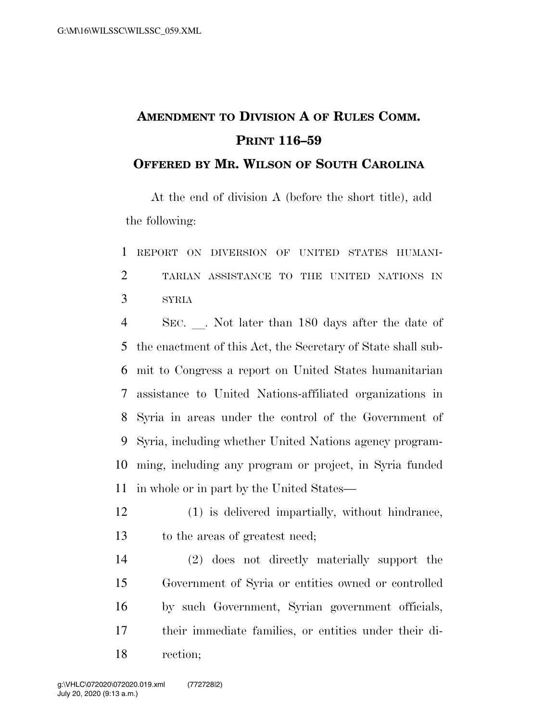## **AMENDMENT TO DIVISION A OF RULES COMM. PRINT 116–59**

## **OFFERED BY MR. WILSON OF SOUTH CAROLINA**

At the end of division A (before the short title), add the following:

 REPORT ON DIVERSION OF UNITED STATES HUMANI- TARIAN ASSISTANCE TO THE UNITED NATIONS IN SYRIA

4 SEC. Not later than 180 days after the date of the enactment of this Act, the Secretary of State shall sub- mit to Congress a report on United States humanitarian assistance to United Nations-affiliated organizations in Syria in areas under the control of the Government of Syria, including whether United Nations agency program- ming, including any program or project, in Syria funded in whole or in part by the United States—

 (1) is delivered impartially, without hindrance, to the areas of greatest need;

 (2) does not directly materially support the Government of Syria or entities owned or controlled by such Government, Syrian government officials, their immediate families, or entities under their di-rection;